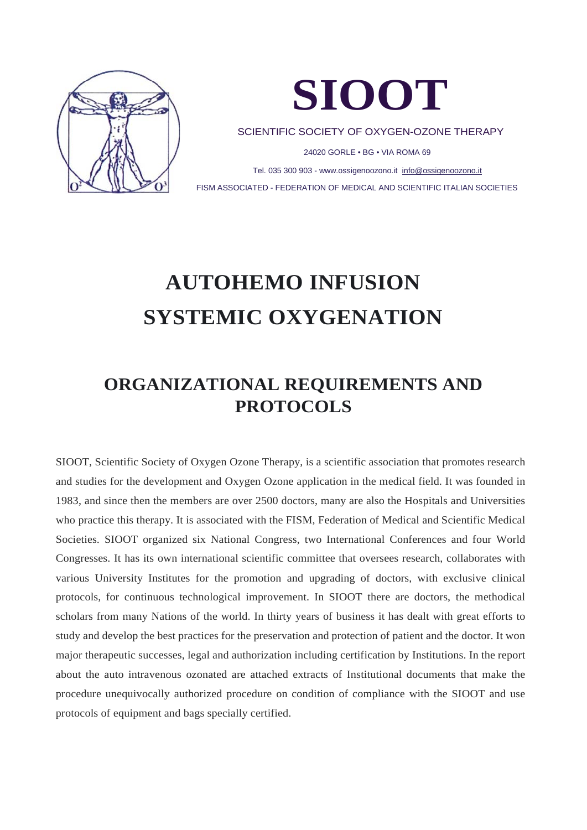



SCIENTIFIC SOCIETY OF OXYGEN-OZONE THERAPY

24020 GORLE • BG • VIA ROMA 69

Tel. 035 300 903 - www.ossigenoozono.it [info@ossigenoozono.it](mailto:info@ossigenoozono.it) FISM ASSOCIATED - FEDERATION OF MEDICAL AND SCIENTIFIC ITALIAN SOCIETIES

# **AUTOHEMO INFUSION SYSTEMIC OXYGENATION**

### **ORGANIZATIONAL REQUIREMENTS AND PROTOCOLS**

SIOOT, Scientific Society of Oxygen Ozone Therapy, is a scientific association that promotes research and studies for the development and Oxygen Ozone application in the medical field. It was founded in 1983, and since then the members are over 2500 doctors, many are also the Hospitals and Universities who practice this therapy. It is associated with the FISM, Federation of Medical and Scientific Medical Societies. SIOOT organized six National Congress, two International Conferences and four World Congresses. It has its own international scientific committee that oversees research, collaborates with various University Institutes for the promotion and upgrading of doctors, with exclusive clinical protocols, for continuous technological improvement. In SIOOT there are doctors, the methodical scholars from many Nations of the world. In thirty years of business it has dealt with great efforts to study and develop the best practices for the preservation and protection of patient and the doctor. It won major therapeutic successes, legal and authorization including certification by Institutions. In the report about the auto intravenous ozonated are attached extracts of Institutional documents that make the procedure unequivocally authorized procedure on condition of compliance with the SIOOT and use protocols of equipment and bags specially certified.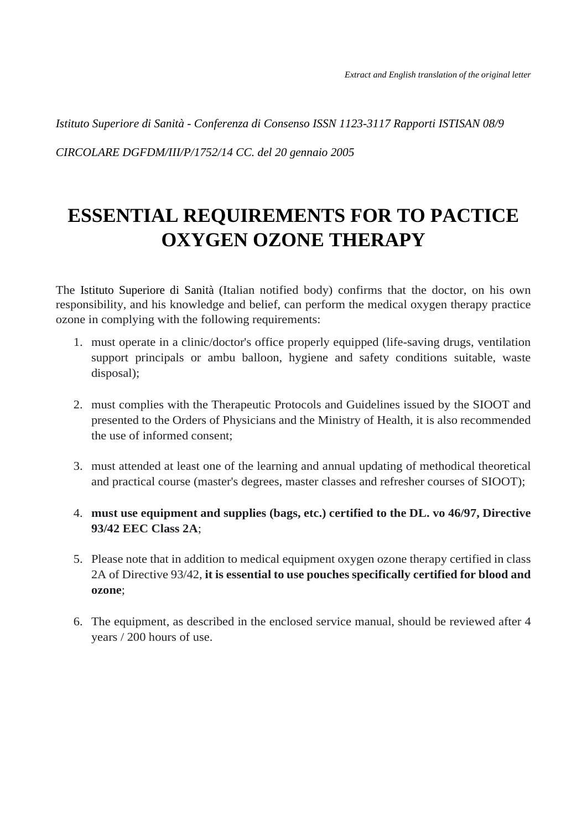*Istituto Superiore di Sanità - Conferenza di Consenso ISSN 1123-3117 Rapporti ISTISAN 08/9*

*CIRCOLARE DGFDM/III/P/1752/14 CC. del 20 gennaio 2005*

## **ESSENTIAL REQUIREMENTS FOR TO PACTICE OXYGEN OZONE THERAPY**

The Istituto Superiore di Sanità (Italian notified body) confirms that the doctor, on his own responsibility, and his knowledge and belief, can perform the medical oxygen therapy practice ozone in complying with the following requirements:

- 1. must operate in a clinic/doctor's office properly equipped (life-saving drugs, ventilation support principals or ambu balloon, hygiene and safety conditions suitable, waste disposal);
- 2. must complies with the Therapeutic Protocols and Guidelines issued by the SIOOT and presented to the Orders of Physicians and the Ministry of Health, it is also recommended the use of informed consent;
- 3. must attended at least one of the learning and annual updating of methodical theoretical and practical course (master's degrees, master classes and refresher courses of SIOOT);
- 4. **must use equipment and supplies (bags, etc.) certified to the DL. vo 46/97, Directive 93/42 EEC Class 2A**;
- 5. Please note that in addition to medical equipment oxygen ozone therapy certified in class 2A of Directive 93/42, **it is essential to use pouches specifically certified for blood and ozone**;
- 6. The equipment, as described in the enclosed service manual, should be reviewed after 4 years / 200 hours of use.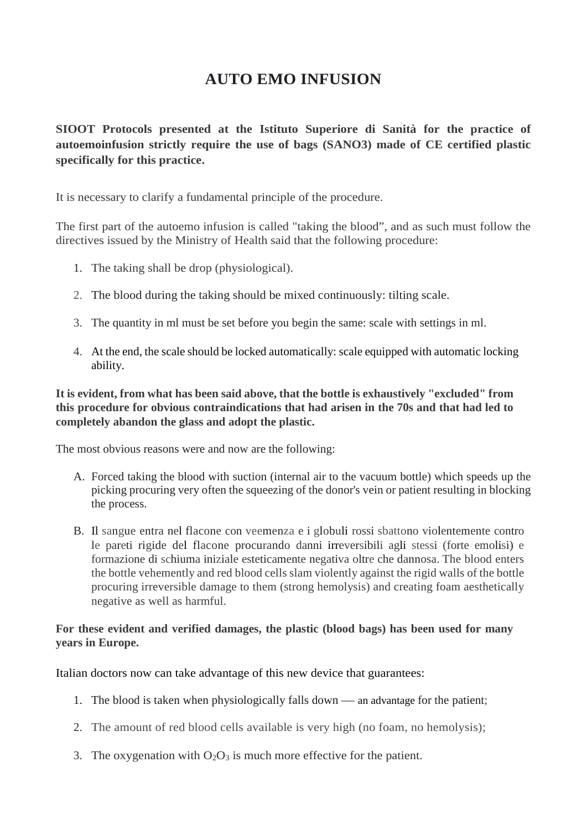### **AUTO EMO INFUSION**

**SIOOT Protocols presented at the Istituto Superiore di Sanità for the practice of autoemoinfusion strictly require the use of bags (SANO3) made of CE certified plastic specifically for this practice.**

It is necessary to clarify a fundamental principle of the procedure.

The first part of the autoemo infusion is called "taking the blood", and as such must follow the directives issued by the Ministry of Health said that the following procedure:

- 1. The taking shall be drop (physiological).
- 2. The blood during the taking should be mixed continuously: tilting scale.
- 3. The quantity in ml must be set before you begin the same: scale with settings in ml.
- 4. At the end, the scale should be locked automatically: scale equipped with automatic locking ability.

#### **It is evident, from what has been said above, that the bottle is exhaustively "excluded" from this procedure for obvious contraindications that had arisen in the 70s and that had led to completely abandon the glass and adopt the plastic.**

The most obvious reasons were and now are the following:

- A. Forced taking the blood with suction (internal air to the vacuum bottle) which speeds up the picking procuring very often the squeezing of the donor's vein or patient resulting in blocking the process.
- B. Il sangue entra nel flacone con veemenza e i globuli rossi sbattono violentemente contro le pareti rigide del flacone procurando danni irreversibili agli stessi (forte emolisi) e formazione di schiuma iniziale esteticamente negativa oltre che dannosa. The blood enters the bottle vehemently and red blood cells slam violently against the rigid walls of the bottle procuring irreversible damage to them (strong hemolysis) and creating foam aesthetically negative as well as harmful.

#### **For these evident and verified damages, the plastic (blood bags) has been used for many years in Europe.**

Italian doctors now can take advantage of this new device that guarantees:

- 1. The blood is taken when physiologically falls down an advantage for the patient;
- 2. The amount of red blood cells available is very high (no foam, no hemolysis);
- 3. The oxygenation with  $O_2O_3$  is much more effective for the patient.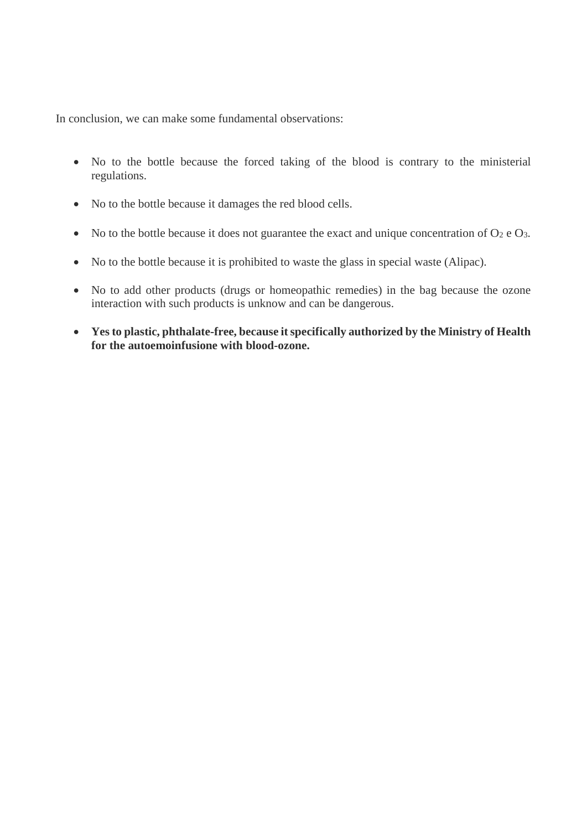In conclusion, we can make some fundamental observations:

- No to the bottle because the forced taking of the blood is contrary to the ministerial regulations.
- No to the bottle because it damages the red blood cells.
- No to the bottle because it does not guarantee the exact and unique concentration of  $O_2$  e  $O_3$ .
- No to the bottle because it is prohibited to waste the glass in special waste (Alipac).
- No to add other products (drugs or homeopathic remedies) in the bag because the ozone interaction with such products is unknow and can be dangerous.
- **Yes to plastic, phthalate-free, because it specifically authorized by the Ministry of Health for the autoemoinfusione with blood-ozone.**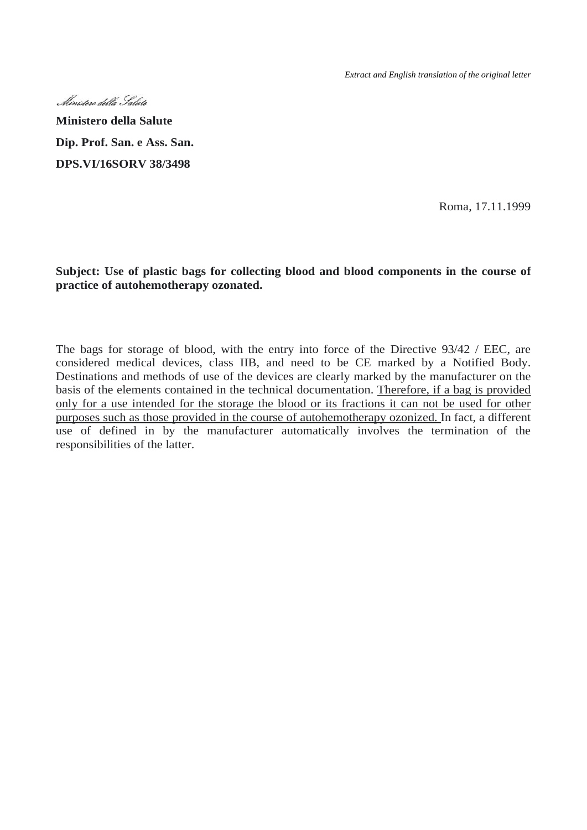*Extract and English translation of the original letter* 



**Ministero della Salute Dip. Prof. San. e Ass. San. DPS.VI/16SORV 38/3498**

Roma, 17.11.1999

#### **Subject: Use of plastic bags for collecting blood and blood components in the course of practice of autohemotherapy ozonated.**

The bags for storage of blood, with the entry into force of the Directive 93/42 / EEC, are considered medical devices, class IIB, and need to be CE marked by a Notified Body. Destinations and methods of use of the devices are clearly marked by the manufacturer on the basis of the elements contained in the technical documentation. Therefore, if a bag is provided only for a use intended for the storage the blood or its fractions it can not be used for other purposes such as those provided in the course of autohemotherapy ozonized. In fact, a different use of defined in by the manufacturer automatically involves the termination of the responsibilities of the latter.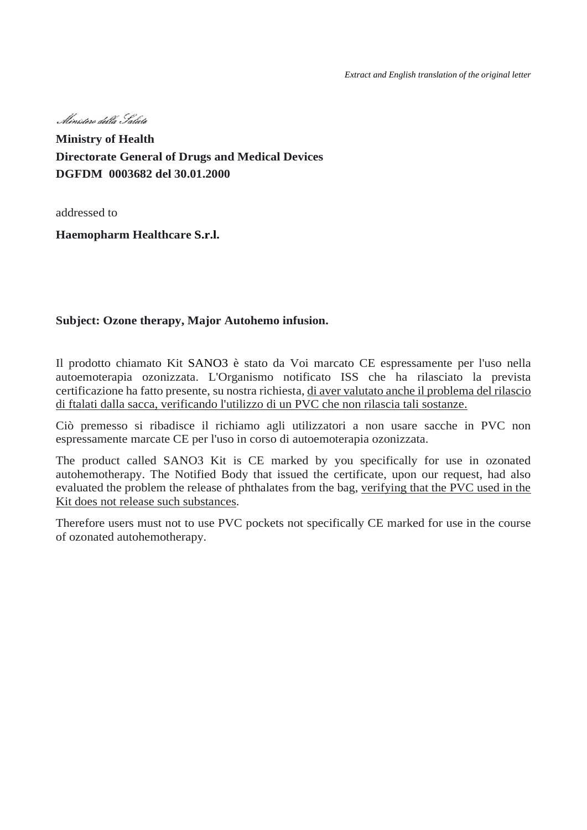*Extract and English translation of the original letter*

, Ministere della Galute

**Ministry of Health Directorate General of Drugs and Medical Devices DGFDM 0003682 del 30.01.2000**

addressed to

**Haemopharm Healthcare S.r.l.**

#### **Subject: Ozone therapy, Major Autohemo infusion.**

Il prodotto chiamato Kit SANO3 è stato da Voi marcato CE espressamente per l'uso nella autoemoterapia ozonizzata. L'Organismo notificato ISS che ha rilasciato la prevista certificazione ha fatto presente, su nostra richiesta, di aver valutato anche il problema del rilascio di ftalati dalla sacca, verificando l'utilizzo di un PVC che non rilascia tali sostanze.

Ciò premesso si ribadisce il richiamo agli utilizzatori a non usare sacche in PVC non espressamente marcate CE per l'uso in corso di autoemoterapia ozonizzata.

The product called SANO3 Kit is CE marked by you specifically for use in ozonated autohemotherapy. The Notified Body that issued the certificate, upon our request, had also evaluated the problem the release of phthalates from the bag, verifying that the PVC used in the Kit does not release such substances.

Therefore users must not to use PVC pockets not specifically CE marked for use in the course of ozonated autohemotherapy.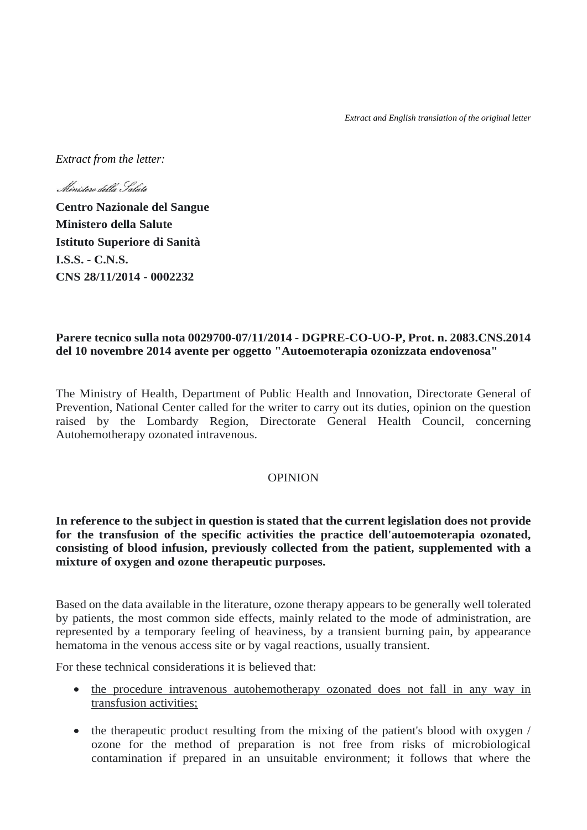*Extract from the letter:*

Ministero della Salute

**Centro Nazionale del Sangue Ministero della Salute Istituto Superiore di Sanità I.S.S. - C.N.S. CNS 28/11/2014 - 0002232**

#### **Parere tecnico sulla nota 0029700-07/11/2014 - DGPRE-CO-UO-P, Prot. n. 2083.CNS.2014 del 10 novembre 2014 avente per oggetto "Autoemoterapia ozonizzata endovenosa"**

The Ministry of Health, Department of Public Health and Innovation, Directorate General of Prevention, National Center called for the writer to carry out its duties, opinion on the question raised by the Lombardy Region, Directorate General Health Council, concerning Autohemotherapy ozonated intravenous.

#### OPINION

**In reference to the subject in question is stated that the current legislation does not provide for the transfusion of the specific activities the practice dell'autoemoterapia ozonated, consisting of blood infusion, previously collected from the patient, supplemented with a mixture of oxygen and ozone therapeutic purposes.**

Based on the data available in the literature, ozone therapy appears to be generally well tolerated by patients, the most common side effects, mainly related to the mode of administration, are represented by a temporary feeling of heaviness, by a transient burning pain, by appearance hematoma in the venous access site or by vagal reactions, usually transient.

For these technical considerations it is believed that:

- the procedure intravenous autohemotherapy ozonated does not fall in any way in transfusion activities;
- the therapeutic product resulting from the mixing of the patient's blood with oxygen / ozone for the method of preparation is not free from risks of microbiological contamination if prepared in an unsuitable environment; it follows that where the